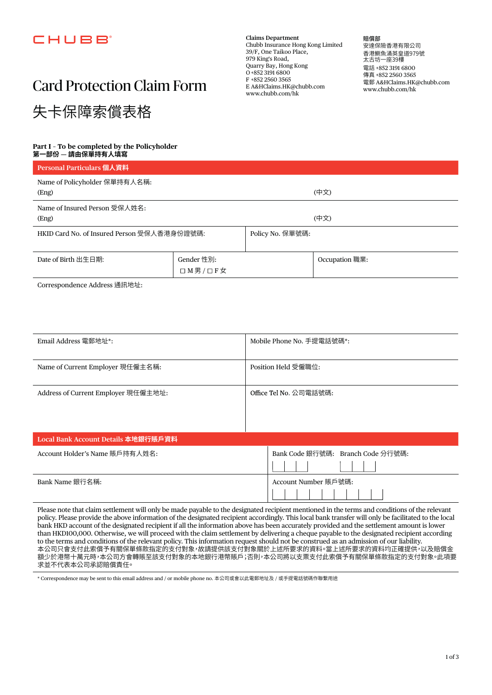### CHUBB

**Claims Department** Chubb Insurance Hong Kong Limited 39/F, One Taikoo Place, 979 King's Road, Quarry Bay, Hong Kong O +852 3191 6800 F +852 2560 3565 E A&HClaims.HK@chubb.com www.chubb.com/hk

賠償部 安達保險香港有限公司 껻度댰눴嶑薊涽麥贫 太古坊一座39樓 電話 +852 3191 6800 傳真 +852 2560 3565 雷郵 A&HClaims.HK@chubb.com www.chubb.com/hk

# Card Protection Claim Form 失卡保障索償表格

#### **Part I – To be completed by the Policyholder** 第一部份 — 請由保單持有人填寫

| Personal Particulars 個人資料                   |                                           |                  |                |  |
|---------------------------------------------|-------------------------------------------|------------------|----------------|--|
| Name of Policyholder 保單持有人名稱:<br>(Eng)      |                                           |                  | (中文)           |  |
| Name of Insured Person 受保人姓名:<br>(Eng)      |                                           |                  | (中文)           |  |
| HKID Card No. of Insured Person 受保人香港身份證號碼: |                                           | Policy No. 保單號碼: |                |  |
| Date of Birth 出生日期:                         | Gender 性別:<br>$\square$ M男/ $\square$ F 女 |                  | Occupation 職業: |  |

Correspondence Address 通訊地址:

| Email Address 電郵地址*:                | Mobile Phone No. 手提電話號碼*:         |
|-------------------------------------|-----------------------------------|
| Name of Current Employer 現任僱主名稱:    | Position Held 受僱職位:               |
| Address of Current Employer 現任僱主地址: | Office Tel No. 公司電話號碼:            |
| Local Bank Account Details 本地銀行賬戶資料 |                                   |
| Account Holder's Name 賬戶持有人姓名:      | Bank Code 銀行號碼: Branch Code 分行號碼: |
| Bank Name 銀行名稱:                     | Account Number 賬戶號碼:              |

Please note that claim settlement will only be made payable to the designated recipient mentioned in the terms and conditions of the relevant policy. Please provide the above information of the designated recipient accordingly. This local bank transfer will only be facilitated to the local bank HKD account of the designated recipient if all the information above has been accurately provided and the settlement amount is lower than HKD100,000. Otherwise, we will proceed with the claim settlement by delivering a cheque payable to the designated recipient according to the terms and conditions of the relevant policy. This information request should not be construed as an admission of our liability. 本公司只會支付出索償予有關保單條紮指定的支付對象,放請提供該支付對象關於上述所要求的資料。當上述所要求的資料均正確提供,以及賠償金 額少於港幣十萬元時,本公司方會轉賬至該支付對象的本地銀行港幣賬戶;否則,本公司將以支票支付此索償予有關保單條款指定的支付對象。此項要 求並不代表本公司承認賠償責任。

\* Correspondence may be sent to this email address and / or mobile phone no. 本公司或會以此電郵地址及 / 或手提電話號碼作聯繫用途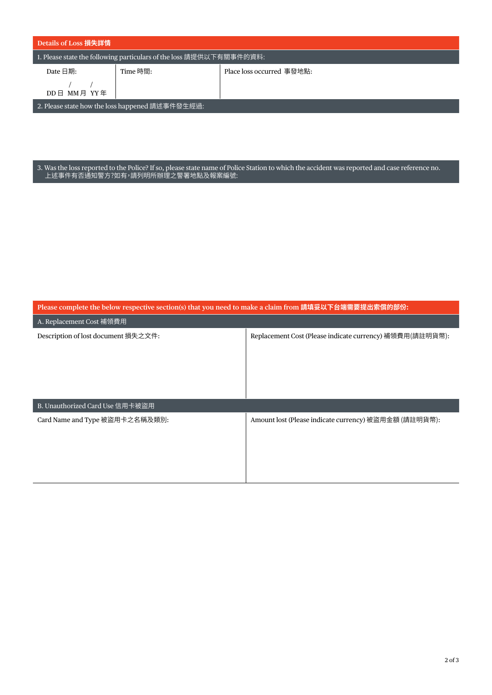| Details of Loss 損失詳情                                                |          |                           |  |  |
|---------------------------------------------------------------------|----------|---------------------------|--|--|
| 1. Please state the following particulars of the loss 請提供以下有關事件的資料: |          |                           |  |  |
| Date 日期:                                                            | Time 時間: | Place loss occurred 事發地點: |  |  |
| DD日 MM月 YY年                                                         |          |                           |  |  |
| 2. Please state how the loss happened 請述事件發生經過:                     |          |                           |  |  |
|                                                                     |          |                           |  |  |

#### 3. Was the loss reported to the Police? If so, please state name of Police Station to which the accident was reported and case reference no. 上延事件有否通知警万?如有,請列明所辧埋乙警著地點及報案編號:

| Please complete the below respective section(s) that you need to make a claim from 請填妥以下台端需要提出索償的部份: |                                                          |  |
|------------------------------------------------------------------------------------------------------|----------------------------------------------------------|--|
| A. Replacement Cost 補領費用                                                                             |                                                          |  |
| Description of lost document 損失之文件:                                                                  | Replacement Cost (Please indicate currency) 補領費用(請註明貨幣): |  |
| B. Unauthorized Card Use 信用卡被盜用                                                                      |                                                          |  |
| Card Name and Type 被盜用卡之名稱及類別:                                                                       | Amount lost (Please indicate currency) 被盜用金額 (請註明貨幣):    |  |